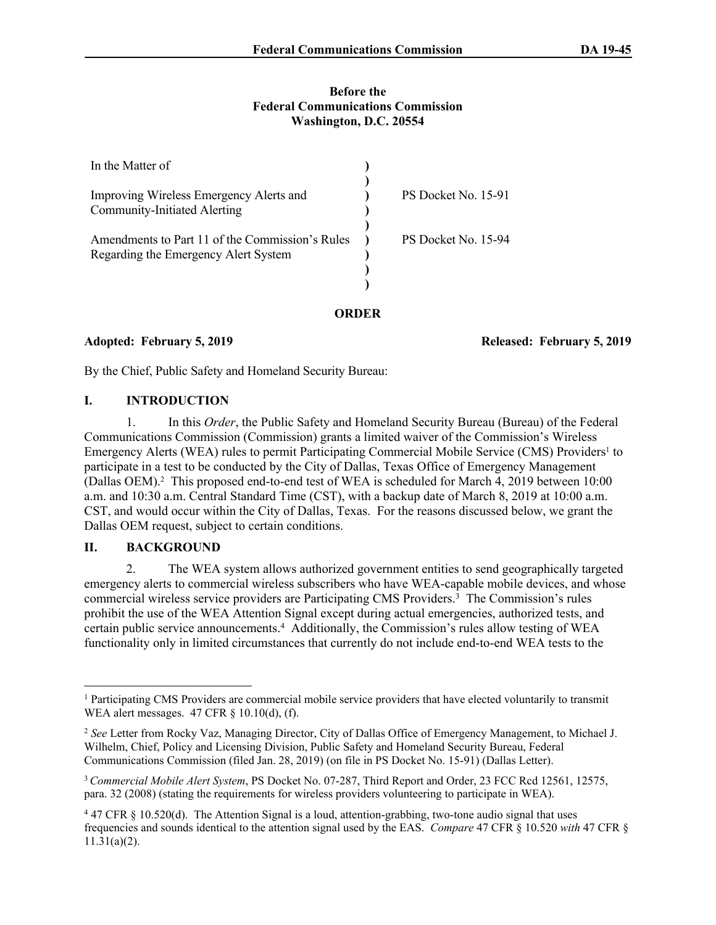## **Before the Federal Communications Commission Washington, D.C. 20554**

| In the Matter of                                                                        |                     |
|-----------------------------------------------------------------------------------------|---------------------|
| Improving Wireless Emergency Alerts and<br><b>Community-Initiated Alerting</b>          | PS Docket No. 15-91 |
| Amendments to Part 11 of the Commission's Rules<br>Regarding the Emergency Alert System | PS Docket No. 15-94 |

**ORDER**

**Adopted: February 5, 2019 Released: February 5, 2019**

By the Chief, Public Safety and Homeland Security Bureau:

# **I. INTRODUCTION**

1. In this *Order*, the Public Safety and Homeland Security Bureau (Bureau) of the Federal Communications Commission (Commission) grants a limited waiver of the Commission's Wireless Emergency Alerts (WEA) rules to permit Participating Commercial Mobile Service (CMS) Providers<sup>1</sup> to participate in a test to be conducted by the City of Dallas, Texas Office of Emergency Management (Dallas OEM).<sup>2</sup> This proposed end-to-end test of WEA is scheduled for March 4, 2019 between 10:00 a.m. and 10:30 a.m. Central Standard Time (CST), with a backup date of March 8, 2019 at 10:00 a.m. CST, and would occur within the City of Dallas, Texas. For the reasons discussed below, we grant the Dallas OEM request, subject to certain conditions.

## **II. BACKGROUND**

2. The WEA system allows authorized government entities to send geographically targeted emergency alerts to commercial wireless subscribers who have WEA-capable mobile devices, and whose commercial wireless service providers are Participating CMS Providers.<sup>3</sup> The Commission's rules prohibit the use of the WEA Attention Signal except during actual emergencies, authorized tests, and certain public service announcements.<sup>4</sup> Additionally, the Commission's rules allow testing of WEA functionality only in limited circumstances that currently do not include end-to-end WEA tests to the

<sup>1</sup> Participating CMS Providers are commercial mobile service providers that have elected voluntarily to transmit WEA alert messages. 47 CFR § 10.10(d), (f).

<sup>2</sup> *See* Letter from Rocky Vaz, Managing Director, City of Dallas Office of Emergency Management, to Michael J. Wilhelm, Chief, Policy and Licensing Division, Public Safety and Homeland Security Bureau, Federal Communications Commission (filed Jan. 28, 2019) (on file in PS Docket No. 15-91) (Dallas Letter).

<sup>3</sup>*Commercial Mobile Alert System*, PS Docket No. 07-287, Third Report and Order, 23 FCC Rcd 12561, 12575, para. 32 (2008) (stating the requirements for wireless providers volunteering to participate in WEA).

<sup>4</sup> 47 CFR § 10.520(d). The Attention Signal is a loud, attention-grabbing, two-tone audio signal that uses frequencies and sounds identical to the attention signal used by the EAS. *Compare* 47 CFR § 10.520 *with* 47 CFR § 11.31(a)(2).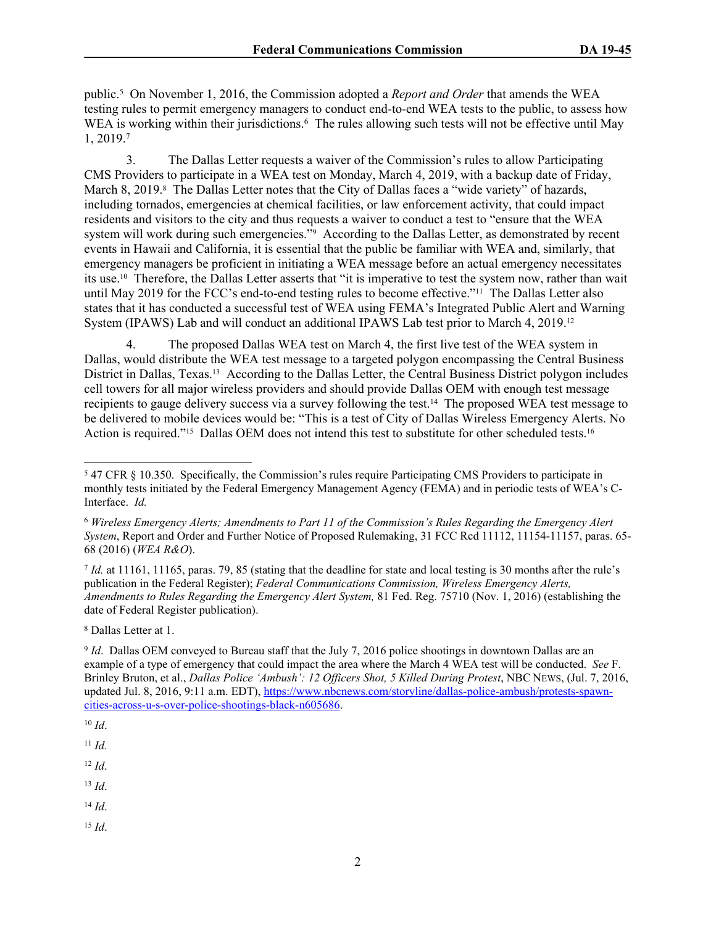public.<sup>5</sup> On November 1, 2016, the Commission adopted a *Report and Order* that amends the WEA testing rules to permit emergency managers to conduct end-to-end WEA tests to the public, to assess how WEA is working within their jurisdictions.<sup>6</sup> The rules allowing such tests will not be effective until May 1, 2019.<sup>7</sup>

3. The Dallas Letter requests a waiver of the Commission's rules to allow Participating CMS Providers to participate in a WEA test on Monday, March 4, 2019, with a backup date of Friday, March 8, 2019.<sup>8</sup> The Dallas Letter notes that the City of Dallas faces a "wide variety" of hazards, including tornados, emergencies at chemical facilities, or law enforcement activity, that could impact residents and visitors to the city and thus requests a waiver to conduct a test to "ensure that the WEA system will work during such emergencies."<sup>9</sup> According to the Dallas Letter, as demonstrated by recent events in Hawaii and California, it is essential that the public be familiar with WEA and, similarly, that emergency managers be proficient in initiating a WEA message before an actual emergency necessitates its use.10 Therefore, the Dallas Letter asserts that "it is imperative to test the system now, rather than wait until May 2019 for the FCC's end-to-end testing rules to become effective."11 The Dallas Letter also states that it has conducted a successful test of WEA using FEMA's Integrated Public Alert and Warning System (IPAWS) Lab and will conduct an additional IPAWS Lab test prior to March 4, 2019.<sup>12</sup>

4. The proposed Dallas WEA test on March 4, the first live test of the WEA system in Dallas, would distribute the WEA test message to a targeted polygon encompassing the Central Business District in Dallas, Texas.13 According to the Dallas Letter, the Central Business District polygon includes cell towers for all major wireless providers and should provide Dallas OEM with enough test message recipients to gauge delivery success via a survey following the test.14 The proposed WEA test message to be delivered to mobile devices would be: "This is a test of City of Dallas Wireless Emergency Alerts. No Action is required."<sup>15</sup> Dallas OEM does not intend this test to substitute for other scheduled tests.<sup>16</sup>

*Id.* at 11161, 11165, paras. 79, 85 (stating that the deadline for state and local testing is 30 months after the rule's publication in the Federal Register); *Federal Communications Commission, Wireless Emergency Alerts, Amendments to Rules Regarding the Emergency Alert System,* 81 Fed. Reg. 75710 (Nov. 1, 2016) (establishing the date of Federal Register publication).

8 Dallas Letter at 1.

 $10$  *Id*.

<sup>11</sup> *Id.*

 $12$  *Id.* 

- <sup>13</sup> *Id*.
- <sup>14</sup> *Id*.
- <sup>15</sup> *Id*.

<sup>5</sup> 47 CFR § 10.350. Specifically, the Commission's rules require Participating CMS Providers to participate in monthly tests initiated by the Federal Emergency Management Agency (FEMA) and in periodic tests of WEA's C-Interface. *Id.*

<sup>6</sup> *Wireless Emergency Alerts; Amendments to Part 11 of the Commission's Rules Regarding the Emergency Alert System*, Report and Order and Further Notice of Proposed Rulemaking, 31 FCC Rcd 11112, 11154-11157, paras. 65- 68 (2016) (*WEA R&O*).

<sup>9</sup> *Id*. Dallas OEM conveyed to Bureau staff that the July 7, 2016 police shootings in downtown Dallas are an example of a type of emergency that could impact the area where the March 4 WEA test will be conducted. *See* F. Brinley Bruton, et al., *Dallas Police 'Ambush': 12 Officers Shot, 5 Killed During Protest*, NBC NEWS, (Jul. 7, 2016, updated Jul. 8, 2016, 9:11 a.m. EDT), [https://www.nbcnews.com/storyline/dallas-police-ambush/protests-spawn](https://www.nbcnews.com/storyline/dallas-police-ambush/protests-spawn-cities-across-u-s-over-police-shootings-black-n605686)[cities-across-u-s-over-police-shootings-black-n605686.](https://www.nbcnews.com/storyline/dallas-police-ambush/protests-spawn-cities-across-u-s-over-police-shootings-black-n605686)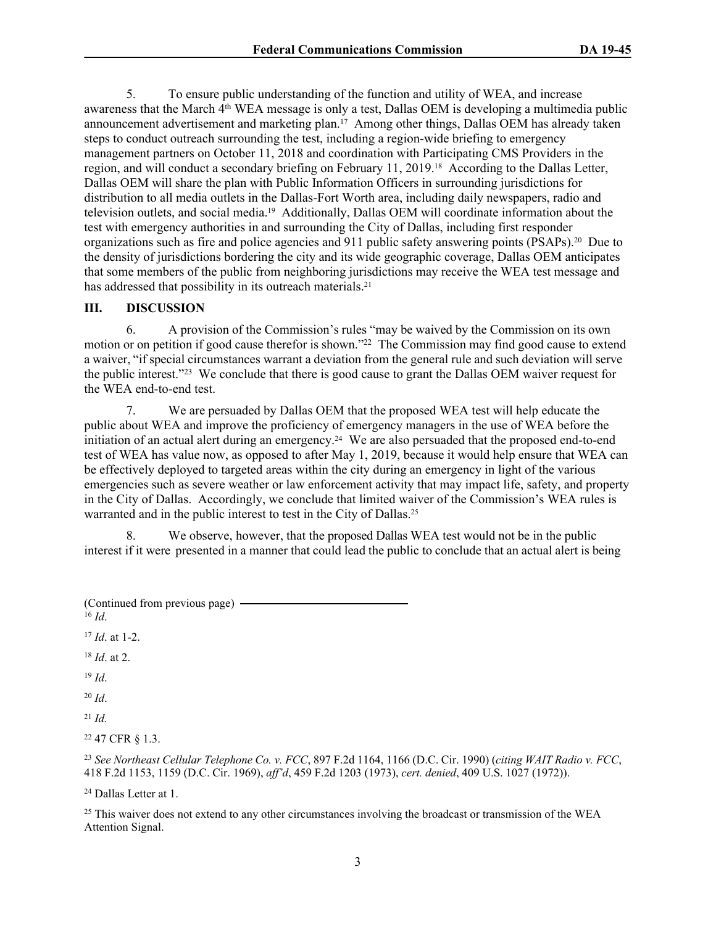5. To ensure public understanding of the function and utility of WEA, and increase awareness that the March 4<sup>th</sup> WEA message is only a test, Dallas OEM is developing a multimedia public announcement advertisement and marketing plan.17 Among other things, Dallas OEM has already taken steps to conduct outreach surrounding the test, including a region-wide briefing to emergency management partners on October 11, 2018 and coordination with Participating CMS Providers in the region, and will conduct a secondary briefing on February 11, 2019.18 According to the Dallas Letter, Dallas OEM will share the plan with Public Information Officers in surrounding jurisdictions for distribution to all media outlets in the Dallas-Fort Worth area, including daily newspapers, radio and television outlets, and social media.19 Additionally, Dallas OEM will coordinate information about the test with emergency authorities in and surrounding the City of Dallas, including first responder organizations such as fire and police agencies and 911 public safety answering points (PSAPs).20 Due to the density of jurisdictions bordering the city and its wide geographic coverage, Dallas OEM anticipates that some members of the public from neighboring jurisdictions may receive the WEA test message and has addressed that possibility in its outreach materials.<sup>21</sup>

## **III. DISCUSSION**

6. A provision of the Commission's rules "may be waived by the Commission on its own motion or on petition if good cause therefor is shown."<sup>22</sup> The Commission may find good cause to extend a waiver, "if special circumstances warrant a deviation from the general rule and such deviation will serve the public interest."<sup>23</sup> We conclude that there is good cause to grant the Dallas OEM waiver request for the WEA end-to-end test.

7. We are persuaded by Dallas OEM that the proposed WEA test will help educate the public about WEA and improve the proficiency of emergency managers in the use of WEA before the initiation of an actual alert during an emergency.<sup>24</sup> We are also persuaded that the proposed end-to-end test of WEA has value now, as opposed to after May 1, 2019, because it would help ensure that WEA can be effectively deployed to targeted areas within the city during an emergency in light of the various emergencies such as severe weather or law enforcement activity that may impact life, safety, and property in the City of Dallas. Accordingly, we conclude that limited waiver of the Commission's WEA rules is warranted and in the public interest to test in the City of Dallas.<sup>25</sup>

8. We observe, however, that the proposed Dallas WEA test would not be in the public interest if it were presented in a manner that could lead the public to conclude that an actual alert is being

 $^{16}$  *Id*.

<sup>17</sup> *Id*. at 1-2.

- <sup>18</sup> *Id*. at 2.
- <sup>19</sup> *Id*.

<sup>20</sup> *Id*.

<sup>21</sup> *Id.*

<sup>22</sup> 47 CFR § 1.3.

<sup>23</sup> *See Northeast Cellular Telephone Co. v. FCC*, 897 F.2d 1164, 1166 (D.C. Cir. 1990) (*citing WAIT Radio v. FCC*, 418 F.2d 1153, 1159 (D.C. Cir. 1969), *aff'd*, 459 F.2d 1203 (1973), *cert. denied*, 409 U.S. 1027 (1972)).

<sup>24</sup> Dallas Letter at 1.

<sup>25</sup> This waiver does not extend to any other circumstances involving the broadcast or transmission of the WEA Attention Signal.

<sup>(</sup>Continued from previous page)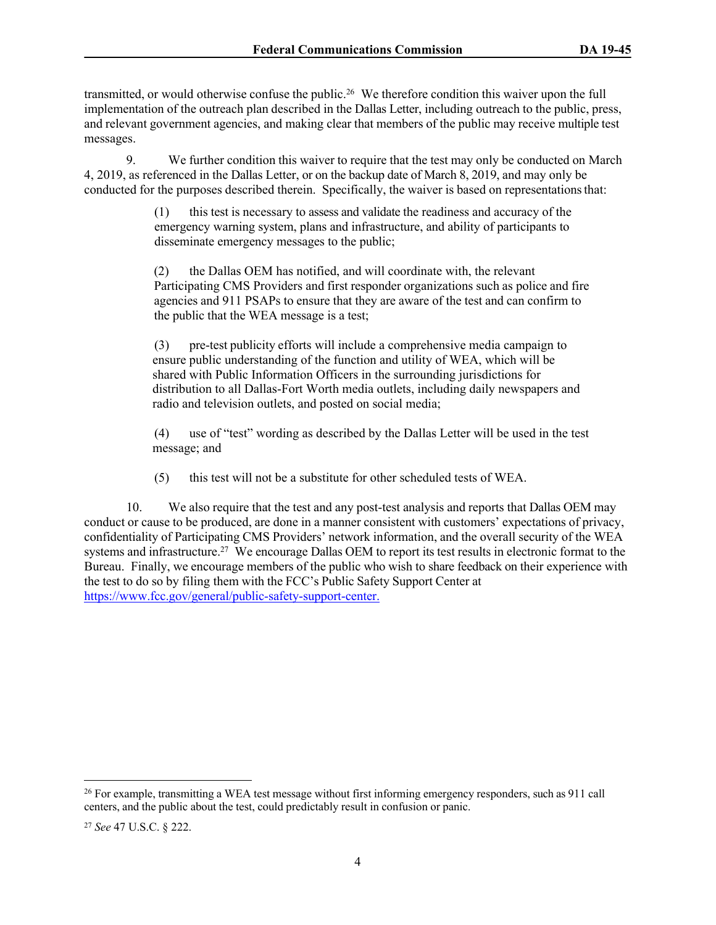transmitted, or would otherwise confuse the public.<sup>26</sup> We therefore condition this waiver upon the full implementation of the outreach plan described in the Dallas Letter, including outreach to the public, press, and relevant government agencies, and making clear that members of the public may receive multiple test messages.

9. We further condition this waiver to require that the test may only be conducted on March 4, 2019, as referenced in the Dallas Letter, or on the backup date of March 8, 2019, and may only be conducted for the purposes described therein. Specifically, the waiver is based on representations that:

> (1) this test is necessary to assess and validate the readiness and accuracy of the emergency warning system, plans and infrastructure, and ability of participants to disseminate emergency messages to the public;

(2) the Dallas OEM has notified, and will coordinate with, the relevant Participating CMS Providers and first responder organizations such as police and fire agencies and 911 PSAPs to ensure that they are aware of the test and can confirm to the public that the WEA message is a test;

(3) pre-test publicity efforts will include a comprehensive media campaign to ensure public understanding of the function and utility of WEA, which will be shared with Public Information Officers in the surrounding jurisdictions for distribution to all Dallas-Fort Worth media outlets, including daily newspapers and radio and television outlets, and posted on social media;

(4) use of "test" wording as described by the Dallas Letter will be used in the test message; and

(5) this test will not be a substitute for other scheduled tests of WEA.

10. We also require that the test and any post-test analysis and reports that Dallas OEM may conduct or cause to be produced, are done in a manner consistent with customers' expectations of privacy, confidentiality of Participating CMS Providers' network information, and the overall security of the WEA systems and infrastructure.<sup>27</sup> We encourage Dallas OEM to report its test results in electronic format to the Bureau. Finally, we encourage members of the public who wish to share feedback on their experience with the test to do so by filing them with the FCC's Public Safety Support Center at <https://www.fcc.gov/general/public-safety-support-center>.

<sup>&</sup>lt;sup>26</sup> For example, transmitting a WEA test message without first informing emergency responders, such as 911 call centers, and the public about the test, could predictably result in confusion or panic.

<sup>27</sup> *See* 47 U.S.C. § 222.